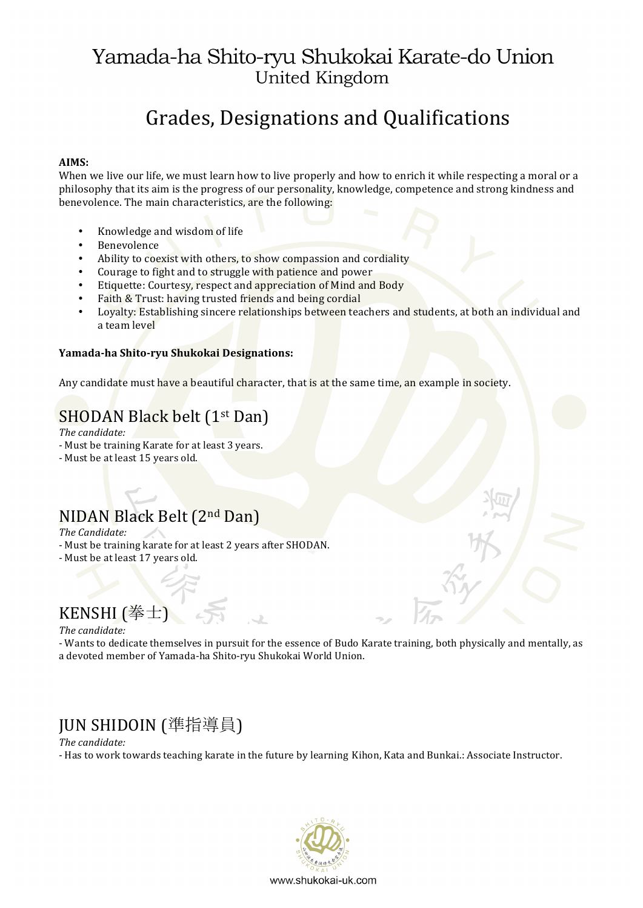# Grades, Designations and Qualifications

#### **AIMS:**

When we live our life, we must learn how to live properly and how to enrich it while respecting a moral or a philosophy that its aim is the progress of our personality, knowledge, competence and strong kindness and benevolence. The main characteristics, are the following:

- Knowledge and wisdom of life
- Benevolence
- Ability to coexist with others, to show compassion and cordiality
- Courage to fight and to struggle with patience and power
- Etiquette: Courtesy, respect and appreciation of Mind and Body
- Faith & Trust: having trusted friends and being cordial
- Loyalty: Establishing sincere relationships between teachers and students, at both an individual and a team level

#### **Yamada-ha Shito-ryu Shukokai Designations:**

Any candidate must have a beautiful character, that is at the same time, an example in society.

#### SHODAN Black belt (1<sup>st</sup> Dan)

*The candidate:*

- Must be training Karate for at least 3 years.
- Must be at least 15 years old.

## NIDAN Black Belt (2nd Dan)

*The Candidate:*

- Must be training karate for at least 2 years after SHODAN.
- Must be at least 17 years old.

## KENSHI (拳士)

#### *The candidate:*

- Wants to dedicate themselves in pursuit for the essence of Budo Karate training, both physically and mentally, as a devoted member of Yamada-ha Shito-ryu Shukokai World Union.

## JUN SHIDOIN (準指導員)

#### *The candidate:*

- Has to work towards teaching karate in the future by learning Kihon, Kata and Bunkai.: Associate Instructor.

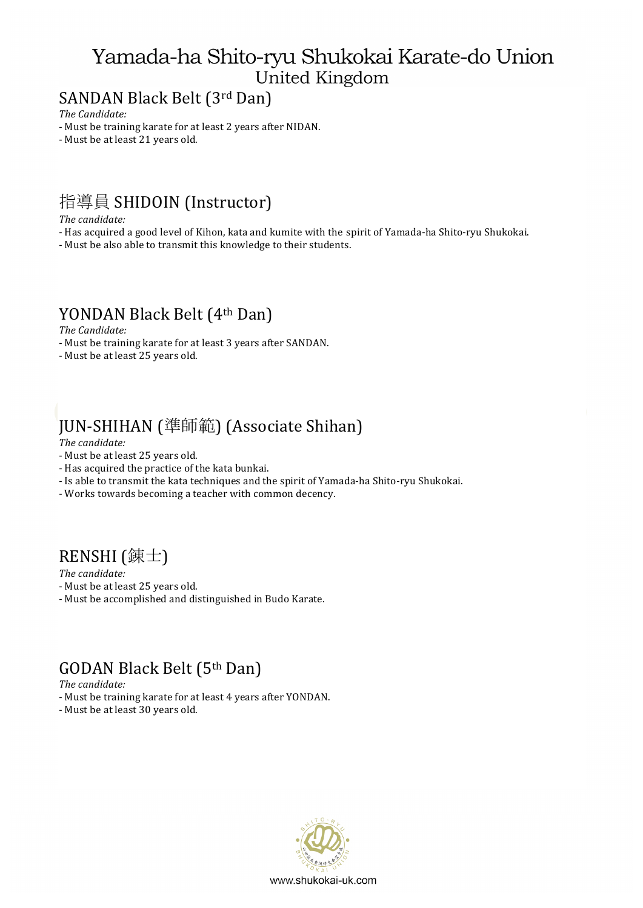## SANDAN Black Belt (3rd Dan)

*The Candidate:*

- Must be training karate for at least 2 years after NIDAN.

- Must be at least 21 years old.

## 指導員 SHIDOIN (Instructor)

*The candidate:*

- Has acquired a good level of Kihon, kata and kumite with the spirit of Yamada-ha Shito-ryu Shukokai.
- Must be also able to transmit this knowledge to their students.

### YONDAN Black Belt (4th Dan)

*The Candidate:*

- Must be training karate for at least 3 years after SANDAN.
- Must be at least 25 years old.

# JUN-SHIHAN (準師範) (Associate Shihan)

#### *The candidate:*

- Must be at least 25 years old.
- Has acquired the practice of the kata bunkai.
- Is able to transmit the kata techniques and the spirit of Yamada-ha Shito-ryu Shukokai.
- Works towards becoming a teacher with common decency.

### RENSHI ( 錬士)

*The candidate:*

- Must be at least 25 years old.
- Must be accomplished and distinguished in Budo Karate.

### GODAN Black Belt (5th Dan)

*The candidate:*

- Must be training karate for at least 4 years after YONDAN.
- Must be at least 30 years old.

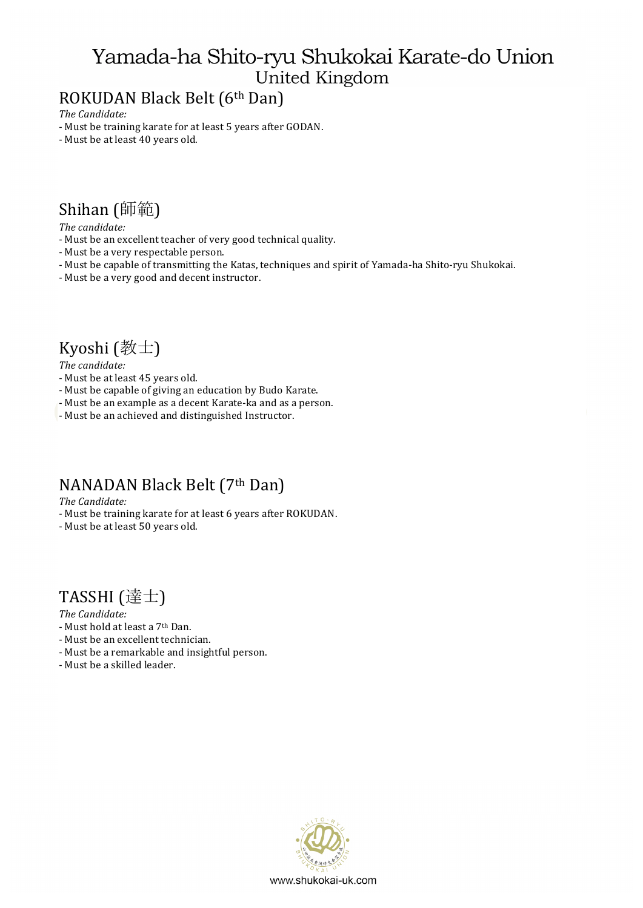## ROKUDAN Black Belt (6th Dan)

*The Candidate:*

- Must be training karate for at least 5 years after GODAN.
- Must be at least 40 years old.

### Shihan (師範)

*The candidate:* 

- Must be an excellent teacher of very good technical quality.
- Must be a very respectable person.
- Must be capable of transmitting the Katas, techniques and spirit of Yamada-ha Shito-ryu Shukokai.
- Must be a very good and decent instructor.

## Kyoshi  $(\frac{2}{3} \pm \frac{1}{3})$

*The candidate:*

- Must be at least 45 years old.
- Must be capable of giving an education by Budo Karate.
- Must be an example as a decent Karate-ka and as a person.
- Must be an achieved and distinguished Instructor.

### NANADAN Black Belt (7th Dan)

*The Candidate:*

- Must be training karate for at least 6 years after ROKUDAN.
- Must be at least 50 years old.

## TASSHI (達士)

*The Candidate:*

- Must hold at least a 7<sup>th</sup> Dan.
- Must be an excellent technician.
- Must be a remarkable and insightful person.
- Must be a skilled leader.